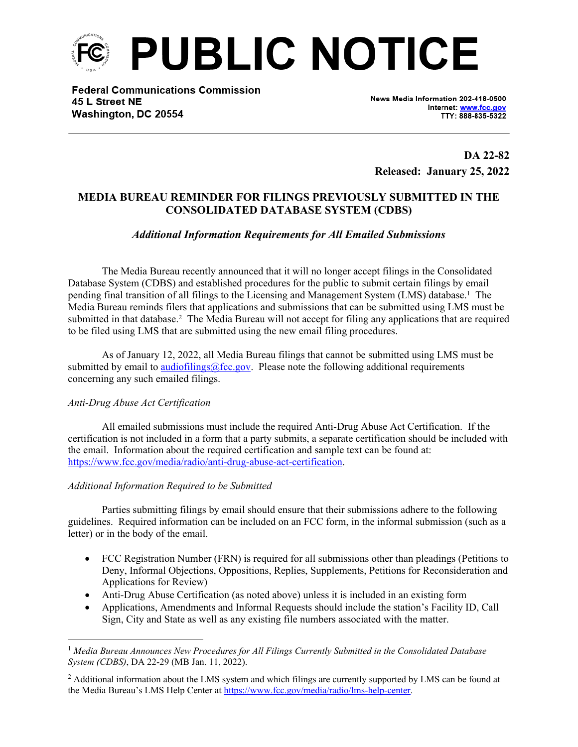

**Federal Communications Commission** 45 L Street NE Washington, DC 20554

News Media Information 202-418-0500 Internet: www.fcc.gov TTY: 888-835-5322

**DA 22-82 Released: January 25, 2022**

# **MEDIA BUREAU REMINDER FOR FILINGS PREVIOUSLY SUBMITTED IN THE CONSOLIDATED DATABASE SYSTEM (CDBS)**

## *Additional Information Requirements for All Emailed Submissions*

The Media Bureau recently announced that it will no longer accept filings in the Consolidated Database System (CDBS) and established procedures for the public to submit certain filings by email pending final transition of all filings to the Licensing and Management System (LMS) database.<sup>1</sup> The Media Bureau reminds filers that applications and submissions that can be submitted using LMS must be submitted in that database.<sup>2</sup> The Media Bureau will not accept for filing any applications that are required to be filed using LMS that are submitted using the new email filing procedures.

As of January 12, 2022, all Media Bureau filings that cannot be submitted using LMS must be submitted by email to [audiofilings@fcc.gov.](mailto:audiofilings@fcc.gov) Please note the following additional requirements concerning any such emailed filings.

### *Anti-Drug Abuse Act Certification*

All emailed submissions must include the required Anti-Drug Abuse Act Certification. If the certification is not included in a form that a party submits, a separate certification should be included with the email. Information about the required certification and sample text can be found at: [https://www.fcc.gov/media/radio/anti-drug-abuse-act-certification.](https://www.fcc.gov/media/radio/anti-drug-abuse-act-certification)

### *Additional Information Required to be Submitted*

Parties submitting filings by email should ensure that their submissions adhere to the following guidelines. Required information can be included on an FCC form, in the informal submission (such as a letter) or in the body of the email.

- FCC Registration Number (FRN) is required for all submissions other than pleadings (Petitions to Deny, Informal Objections, Oppositions, Replies, Supplements, Petitions for Reconsideration and Applications for Review)
- Anti-Drug Abuse Certification (as noted above) unless it is included in an existing form
- Applications, Amendments and Informal Requests should include the station's Facility ID, Call Sign, City and State as well as any existing file numbers associated with the matter.

<sup>1</sup> *Media Bureau Announces New Procedures for All Filings Currently Submitted in the Consolidated Database System (CDBS)*, DA 22-29 (MB Jan. 11, 2022).

<sup>&</sup>lt;sup>2</sup> Additional information about the LMS system and which filings are currently supported by LMS can be found at the Media Bureau's LMS Help Center at [https://www.fcc.gov/media/radio/lms-help-center.](https://www.fcc.gov/media/radio/lms-help-center)